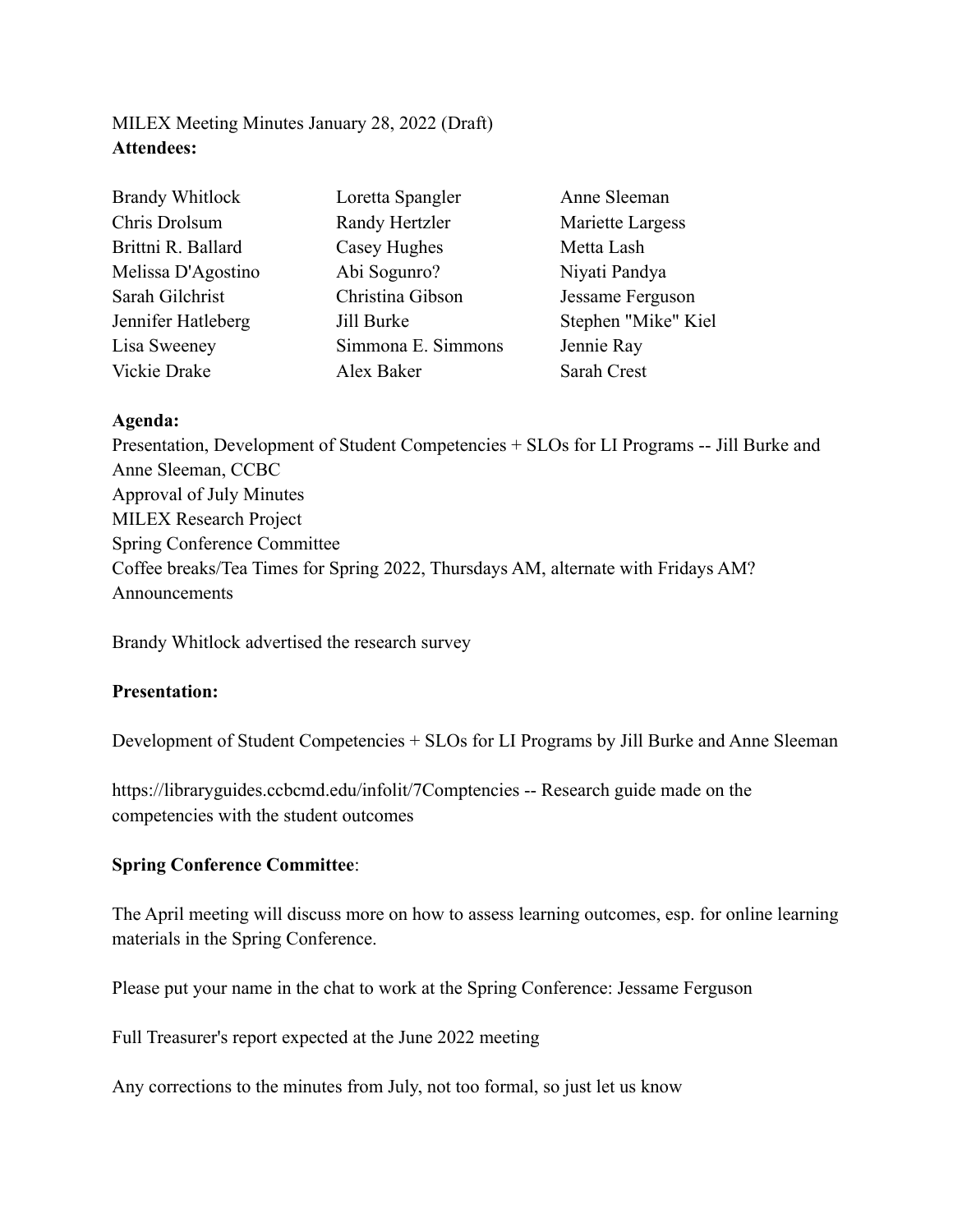# MILEX Meeting Minutes January 28, 2022 (Draft) **Attendees:**

| <b>Brandy Whitlock</b> | Loretta Spangler   | Anne Sleeman        |
|------------------------|--------------------|---------------------|
| Chris Drolsum          | Randy Hertzler     | Mariette Largess    |
| Brittni R. Ballard     | Casey Hughes       | Metta Lash          |
| Melissa D'Agostino     | Abi Sogunro?       | Niyati Pandya       |
| Sarah Gilchrist        | Christina Gibson   | Jessame Ferguson    |
| Jennifer Hatleberg     | Jill Burke         | Stephen "Mike" Kiel |
| Lisa Sweeney           | Simmona E. Simmons | Jennie Ray          |
| Vickie Drake           | Alex Baker         | Sarah Crest         |

#### **Agenda:**

Presentation, Development of Student Competencies + SLOs for LI Programs -- Jill Burke and Anne Sleeman, CCBC Approval of July Minutes MILEX Research Project Spring Conference Committee Coffee breaks/Tea Times for Spring 2022, Thursdays AM, alternate with Fridays AM? Announcements

Brandy Whitlock advertised the research survey

#### **Presentation:**

Development of Student Competencies + SLOs for LI Programs by Jill Burke and Anne Sleeman

https://libraryguides.ccbcmd.edu/infolit/7Comptencies -- Research guide made on the competencies with the student outcomes

## **Spring Conference Committee**:

The April meeting will discuss more on how to assess learning outcomes, esp. for online learning materials in the Spring Conference.

Please put your name in the chat to work at the Spring Conference: Jessame Ferguson

Full Treasurer's report expected at the June 2022 meeting

Any corrections to the minutes from July, not too formal, so just let us know